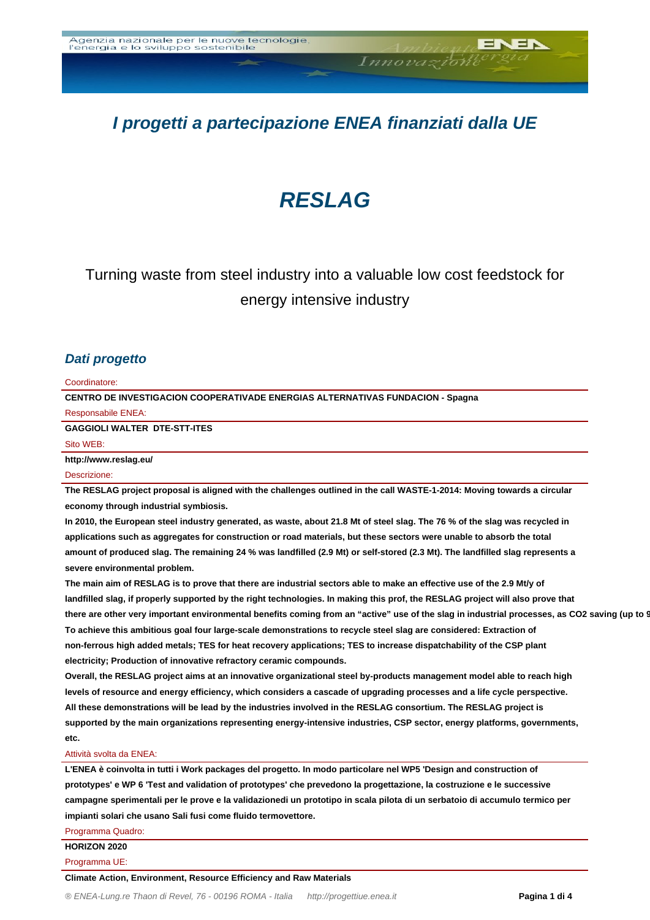# **I progetti a partecipazione ENEA finanziati dalla UE**

Innovazione

# **RESLAG**

## Turning waste from steel industry into a valuable low cost feedstock for energy intensive industry

#### **Dati progetto**

#### Coordinatore:

**CENTRO DE INVESTIGACION COOPERATIVADE ENERGIAS ALTERNATIVAS FUNDACION - Spagna** Responsabile ENEA:

**GAGGIOLI WALTER DTE-STT-ITES**

Sito WEB:

**http://www.reslag.eu/**

#### Descrizione:

**The RESLAG project proposal is aligned with the challenges outlined in the call WASTE-1-2014: Moving towards a circular economy through industrial symbiosis.** 

**In 2010, the European steel industry generated, as waste, about 21.8 Mt of steel slag. The 76 % of the slag was recycled in applications such as aggregates for construction or road materials, but these sectors were unable to absorb the total amount of produced slag. The remaining 24 % was landfilled (2.9 Mt) or self-stored (2.3 Mt). The landfilled slag represents a severe environmental problem.** 

**The main aim of RESLAG is to prove that there are industrial sectors able to make an effective use of the 2.9 Mt/y of landfilled slag, if properly supported by the right technologies. In making this prof, the RESLAG project will also prove that** there are other very important environmental benefits coming from an "active" use of the slag in industrial processes, as CO2 saving (up to 9 **To achieve this ambitious goal four large-scale demonstrations to recycle steel slag are considered: Extraction of non-ferrous high added metals; TES for heat recovery applications; TES to increase dispatchability of the CSP plant electricity; Production of innovative refractory ceramic compounds.** 

**Overall, the RESLAG project aims at an innovative organizational steel by-products management model able to reach high levels of resource and energy efficiency, which considers a cascade of upgrading processes and a life cycle perspective. All these demonstrations will be lead by the industries involved in the RESLAG consortium. The RESLAG project is supported by the main organizations representing energy-intensive industries, CSP sector, energy platforms, governments, etc.**

#### Attività svolta da ENEA:

**L'ENEA è coinvolta in tutti i Work packages del progetto. In modo particolare nel WP5 'Design and construction of prototypes' e WP 6 'Test and validation of prototypes' che prevedono la progettazione, la costruzione e le successive campagne sperimentali per le prove e la validazionedi un prototipo in scala pilota di un serbatoio di accumulo termico per impianti solari che usano Sali fusi come fluido termovettore.**

Programma Quadro:

**HORIZON 2020**

Programma UE:

**Climate Action, Environment, Resource Efficiency and Raw Materials**

JEN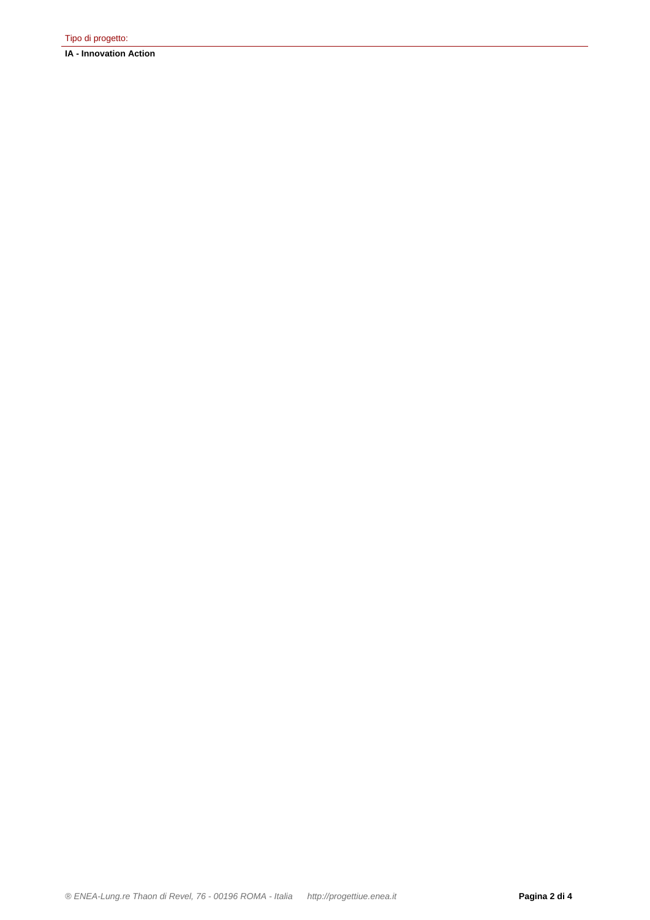**IA - Innovation Action**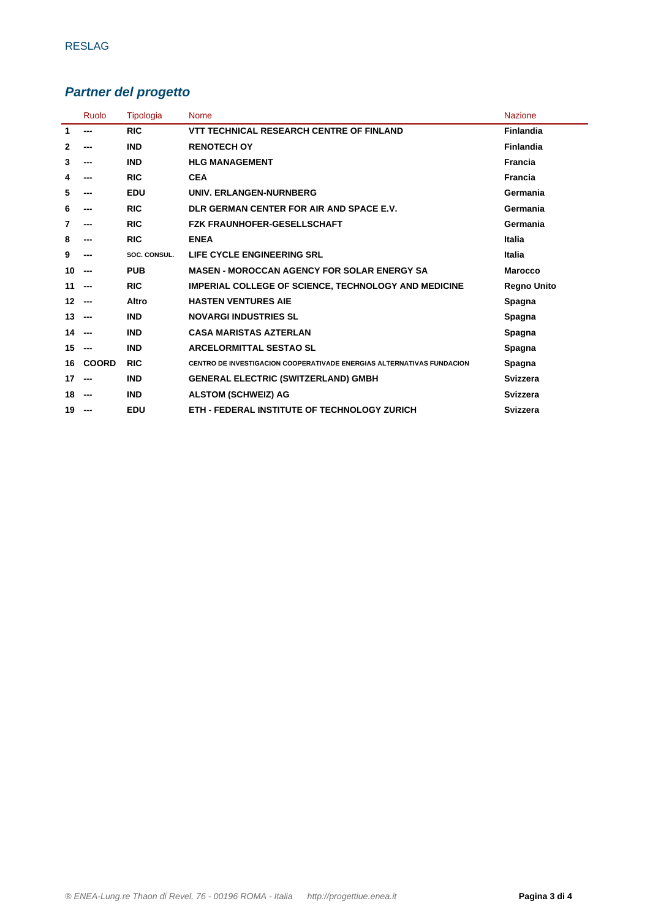### **Partner del progetto**

|              | Ruolo        | <b>Tipologia</b> | <b>Nome</b>                                                                  | <b>Nazione</b>     |
|--------------|--------------|------------------|------------------------------------------------------------------------------|--------------------|
| 1            | ---          | <b>RIC</b>       | <b>VTT TECHNICAL RESEARCH CENTRE OF FINLAND</b>                              | <b>Finlandia</b>   |
| $\mathbf{2}$ | ---          | <b>IND</b>       | <b>RENOTECH OY</b>                                                           | Finlandia          |
| 3            | ---          | <b>IND</b>       | <b>HLG MANAGEMENT</b>                                                        | <b>Francia</b>     |
| 4            | ---          | <b>RIC</b>       | <b>CEA</b>                                                                   | <b>Francia</b>     |
| 5            | ---          | <b>EDU</b>       | UNIV. ERLANGEN-NURNBERG                                                      | Germania           |
| 6            | ---          | <b>RIC</b>       | DLR GERMAN CENTER FOR AIR AND SPACE E.V.                                     | Germania           |
| 7            | ---          | <b>RIC</b>       | <b>FZK FRAUNHOFER-GESELLSCHAFT</b>                                           | Germania           |
| 8            | ---          | <b>RIC</b>       | <b>ENEA</b>                                                                  | Italia             |
| 9            |              | SOC. CONSUL.     | LIFE CYCLE ENGINEERING SRL                                                   | Italia             |
| 10           | ---          | <b>PUB</b>       | <b>MASEN - MOROCCAN AGENCY FOR SOLAR ENERGY SA</b>                           | <b>Marocco</b>     |
| 11           | ---          | <b>RIC</b>       | <b>IMPERIAL COLLEGE OF SCIENCE, TECHNOLOGY AND MEDICINE</b>                  | <b>Regno Unito</b> |
| 12           | ---          | Altro            | <b>HASTEN VENTURES AIE</b>                                                   | Spagna             |
| 13           | ---          | <b>IND</b>       | <b>NOVARGI INDUSTRIES SL</b>                                                 | Spagna             |
| 14           | ---          | <b>IND</b>       | <b>CASA MARISTAS AZTERLAN</b>                                                | Spagna             |
| 15           | ---          | <b>IND</b>       | <b>ARCELORMITTAL SESTAO SL</b>                                               | Spagna             |
| 16           | <b>COORD</b> | <b>RIC</b>       | <b>CENTRO DE INVESTIGACION COOPERATIVADE ENERGIAS ALTERNATIVAS FUNDACION</b> | Spagna             |
| 17           | ---          | <b>IND</b>       | <b>GENERAL ELECTRIC (SWITZERLAND) GMBH</b>                                   | Svizzera           |
| 18           | ---          | <b>IND</b>       | <b>ALSTOM (SCHWEIZ) AG</b>                                                   | Svizzera           |
| 19           | ---          | <b>EDU</b>       | ETH - FEDERAL INSTITUTE OF TECHNOLOGY ZURICH                                 | Svizzera           |
|              |              |                  |                                                                              |                    |